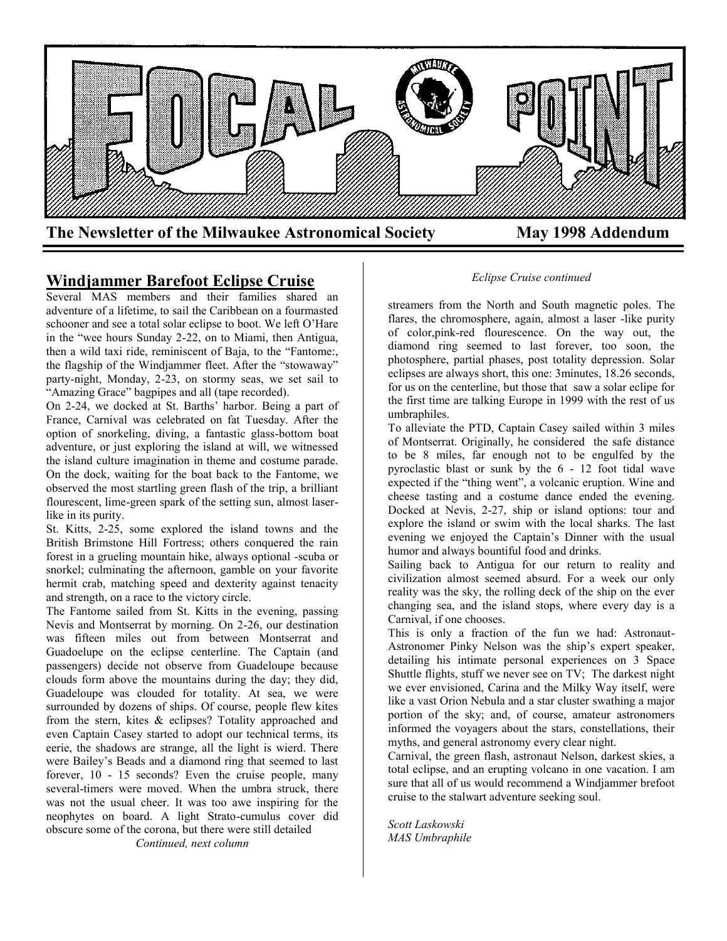

## **Windjammer Barefoot Eclipse Cruise**

Several MAS members and their families shared an adventure of a lifetime, to sail the Caribbean on a fourmasted schooner and see a total solar eclipse to boot. We left O'Hare in the "wee hours Sunday 2-22, on to Miami, then Antigua, then a wild taxi ride, reminiscent of Baja, to the "Fantome:, the flagship of the Windjammer fleet. After the "stowaway" party-night, Monday, 2-23, on stormy seas, we set sail to "Amazing Grace" bagpipes and all (tape recorded).

On 2-24, we docked at St. Barths' harbor. Being a part of France, Carnival was celebrated on fat Tuesday. After the option of snorkeling, diving, a fantastic glass-bottom boat adventure, or just exploring the island at will, we witnessed the island culture imagination in theme and costume parade. On the dock, waiting for the boat back to the Fantome, we observed the most startling green flash of the trip, a brilliant flourescent, lime-green spark of the setting sun, almost laserlike in its purity.

St. Kitts, 2-25, some explored the island towns and the British Brimstone Hill Fortress; others conquered the rain forest in a grueling mountain hike, always optional -scuba or snorkel; culminating the afternoon, gamble on your favorite hermit crab, matching speed and dexterity against tenacity and strength, on a race to the victory circle.

The Fantome sailed from St. Kitts in the evening, passing Nevis and Montserrat by morning. On 2-26, our destination was fifteen miles out from between Montserrat and Guadoelupe on the eclipse centerline. The Captain (and passengers) decide not observe from Guadeloupe because clouds form above the mountains during the day; they did, Guadeloupe was clouded for totality. At sea, we were surrounded by dozens of ships. Of course, people flew kites from the stern, kites & eclipses? Totality approached and even Captain Casey started to adopt our technical terms, its eerie, the shadows are strange, all the light is wierd. There were Bailey's Beads and a diamond ring that seemed to last forever, 10 - 15 seconds? Even the cruise people, many several-timers were moved. When the umbra struck, there was not the usual cheer. It was too awe inspiring for the neophytes on board. A light Strato-cumulus cover did obscure some of the corona, but there were still detailed

*Continued, next column*

#### *Eclipse Cruise continued*

streamers from the North and South magnetic poles. The flares, the chromosphere, again, almost a laser -like purity of color,pink-red flourescence. On the way out, the diamond ring seemed to last forever, too soon, the photosphere, partial phases, post totality depression. Solar eclipses are always short, this one: 3minutes, 18.26 seconds, for us on the centerline, but those that saw a solar eclipe for the first time are talking Europe in 1999 with the rest of us umbraphiles.

To alleviate the PTD, Captain Casey sailed within 3 miles of Montserrat. Originally, he considered the safe distance to be 8 miles, far enough not to be engulfed by the pyroclastic blast or sunk by the 6 - 12 foot tidal wave expected if the "thing went", a volcanic eruption. Wine and cheese tasting and a costume dance ended the evening. Docked at Nevis, 2-27, ship or island options: tour and explore the island or swim with the local sharks. The last evening we enjoyed the Captain's Dinner with the usual humor and always bountiful food and drinks.

Sailing back to Antigua for our return to reality and civilization almost seemed absurd. For a week our only reality was the sky, the rolling deck of the ship on the ever changing sea, and the island stops, where every day is a Carnival, if one chooses.

This is only a fraction of the fun we had: Astronaut-Astronomer Pinky Nelson was the ship's expert speaker, detailing his intimate personal experiences on 3 Space Shuttle flights, stuff we never see on TV; The darkest night we ever envisioned, Carina and the Milky Way itself, were like a vast Orion Nebula and a star cluster swathing a major portion of the sky; and, of course, amateur astronomers informed the voyagers about the stars, constellations, their myths, and general astronomy every clear night.

Carnival, the green flash, astronaut Nelson, darkest skies, a total eclipse, and an erupting volcano in one vacation. I am sure that all of us would recommend a Windjammer brefoot cruise to the stalwart adventure seeking soul.

*Scott Laskowski MAS Umbraphile*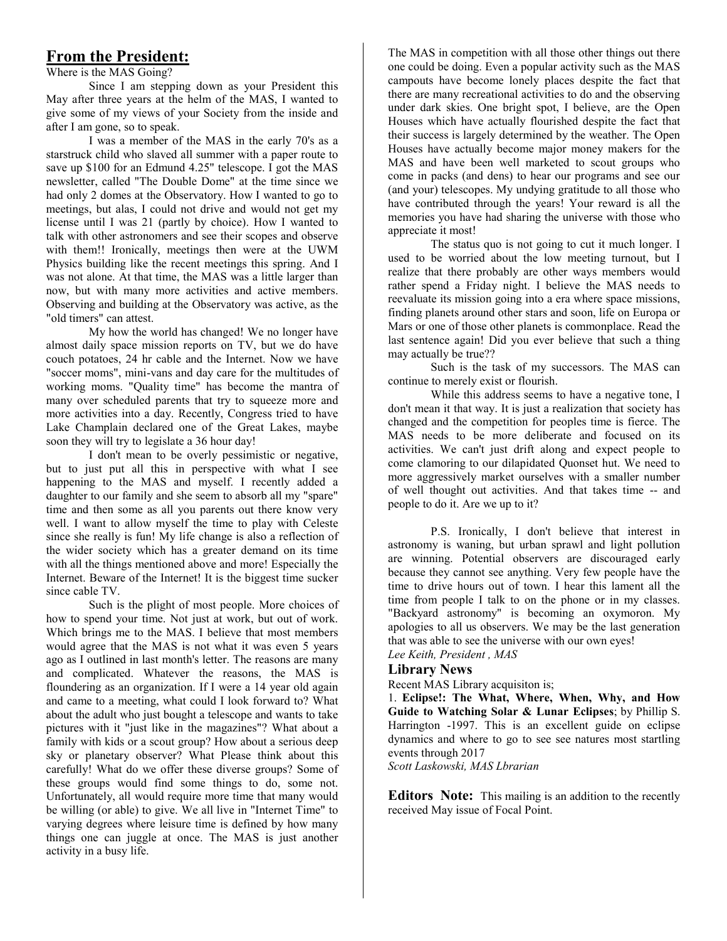# **From the President:**

Where is the MAS Going?

Since I am stepping down as your President this May after three years at the helm of the MAS, I wanted to give some of my views of your Society from the inside and after I am gone, so to speak.

I was a member of the MAS in the early 70's as a starstruck child who slaved all summer with a paper route to save up \$100 for an Edmund 4.25" telescope. I got the MAS newsletter, called "The Double Dome" at the time since we had only 2 domes at the Observatory. How I wanted to go to meetings, but alas, I could not drive and would not get my license until I was 21 (partly by choice). How I wanted to talk with other astronomers and see their scopes and observe with them!! Ironically, meetings then were at the UWM Physics building like the recent meetings this spring. And I was not alone. At that time, the MAS was a little larger than now, but with many more activities and active members. Observing and building at the Observatory was active, as the "old timers" can attest.

My how the world has changed! We no longer have almost daily space mission reports on TV, but we do have couch potatoes, 24 hr cable and the Internet. Now we have "soccer moms", mini-vans and day care for the multitudes of working moms. "Quality time" has become the mantra of many over scheduled parents that try to squeeze more and more activities into a day. Recently, Congress tried to have Lake Champlain declared one of the Great Lakes, maybe soon they will try to legislate a 36 hour day!

I don't mean to be overly pessimistic or negative, but to just put all this in perspective with what I see happening to the MAS and myself. I recently added a daughter to our family and she seem to absorb all my "spare" time and then some as all you parents out there know very well. I want to allow myself the time to play with Celeste since she really is fun! My life change is also a reflection of the wider society which has a greater demand on its time with all the things mentioned above and more! Especially the Internet. Beware of the Internet! It is the biggest time sucker since cable TV.

Such is the plight of most people. More choices of how to spend your time. Not just at work, but out of work. Which brings me to the MAS. I believe that most members would agree that the MAS is not what it was even 5 years ago as I outlined in last month's letter. The reasons are many and complicated. Whatever the reasons, the MAS is floundering as an organization. If I were a 14 year old again and came to a meeting, what could I look forward to? What about the adult who just bought a telescope and wants to take pictures with it "just like in the magazines"? What about a family with kids or a scout group? How about a serious deep sky or planetary observer? What Please think about this carefully! What do we offer these diverse groups? Some of these groups would find some things to do, some not. Unfortunately, all would require more time that many would be willing (or able) to give. We all live in "Internet Time" to varying degrees where leisure time is defined by how many things one can juggle at once. The MAS is just another activity in a busy life.

The MAS in competition with all those other things out there The Could be doing. Even a popular activity such as the MAS campouts have become lonely places despite the fact that mere are many recreational activities to do and the observing<br>under dark skies. One bright spot, I believe, are the Open under datk skies. One bright  $\frac{1}{2}$ Houses which have actually flourished despite the fact that  $\text{Permined}$  by the weather. The Operation Houses have actually become major money makers for the MAS and have been well marketed to scout groups who come in packs (and dens) to hear our programs and see our (and your) telescopes. My undying gratitude to all those who have contributed through the years! Your reward is all the memories you have had sharing the universe with those who one could be doing. Even a popular activity such as the MAS there are many recreational activities to do and the observing their success is largely determined by the weather. The Open appreciate it most!

appreciate it most:<br>The status quo is not going to cut it much longer. I status quo is not going to cut it much longer. The status quo is not going to cut it much longer. used to be worried about the low meeting turnout, but I realize that there probably are other ways members would rather spend a Friday night. I believe the MAS needs to reevaluate its mission going mto a era where space missions, finding planets around other stars and soon, life on Europa or *about the viewe of the planets is common<br>delightful delightful delightful delightful delightful delightful delightful delightful delightful delightful delightful delightful delightful delightful delightful delightful deli* last sentence again! Did you ever believe that such a thing *observations in excess of 450 percent* in excess of  $\frac{1}{2}$  percent of  $\frac{1}{2}$  percent of  $\frac{1}{2}$  percent of  $\frac{1}{2}$  percent of  $\frac{1}{2}$  percent of  $\frac{1}{2}$  percent of  $\frac{1}{2}$  percent of  $\frac{1}{2}$  percent of reevaluate its mission going into a era where space missions, Mars or one of those other planets is commonplace. Read the may actually be true??

*a* given by successors. The MAS can continue to merely exist or flourish.

continue to merely exist of flourish.<br>While this address seems to have a negative tone, I *status also people in a also people to rate a regarive tone, t* don't mean it that way. It is just a realization that society has changed and the competition for peoples time is fierce. The MAS needs to be more deliberate and focused on its activities. We can't just drift along and expect people to come clamoring to our dilapidated Quonset hut. We need to more aggressively market ourselves with a smaller number of well thought out activities. And that takes time -- and people to do it. Are we up to it?

P.S. Ironically, I don't believe that interest in astronomy is waning, but urban sprawl and light pollution are winning. Potential observers are discouraged early because they cannot see anything. Very few people have the time to drive hours out of town. I hear this lament all the time from people I talk to on the phone or in my classes. "Backyard astronomy" is becoming an oxymoron. My apologies to all us observers. We may be the last generation that was able to see the universe with our own eyes!

*Lee Keith, President , MAS*

#### **Library News**

Recent MAS Library acquisiton is;

1. **Eclipse!: The What, Where, When, Why, and How Guide to Watching Solar & Lunar Eclipses**; by Phillip S. Harrington -1997. This is an excellent guide on eclipse dynamics and where to go to see see natures most startling events through 2017

*Scott Laskowski, MAS Lbrarian*

**Editors Note:** This mailing is an addition to the recently received May issue of Focal Point.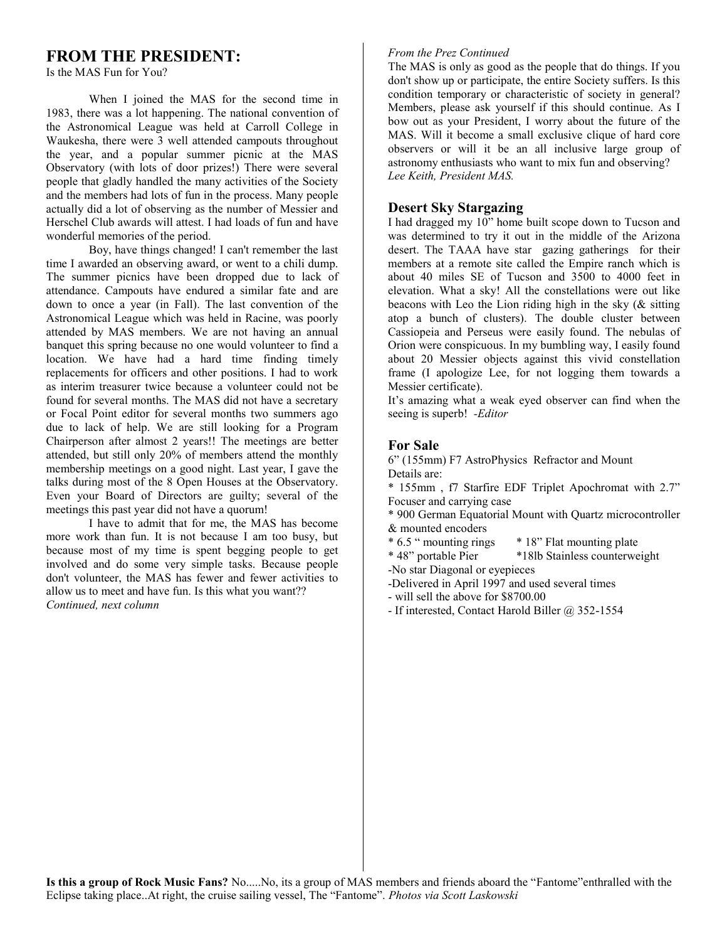# **FROM THE PRESIDENT:**

Is the MAS Fun for You?

When I joined the MAS for the second time in 1983, there was a lot happening. The national convention of the Astronomical League was held at Carroll College in Waukesha, there were 3 well attended campouts throughout the year, and a popular summer picnic at the MAS Observatory (with lots of door prizes!) There were several people that gladly handled the many activities of the Society and the members had lots of fun in the process. Many people actually did a lot of observing as the number of Messier and Herschel Club awards will attest. I had loads of fun and have wonderful memories of the period.

Boy, have things changed! I can't remember the last time I awarded an observing award, or went to a chili dump. The summer picnics have been dropped due to lack of attendance. Campouts have endured a similar fate and are down to once a year (in Fall). The last convention of the Astronomical League which was held in Racine, was poorly attended by MAS members. We are not having an annual banquet this spring because no one would volunteer to find a location. We have had a hard time finding timely replacements for officers and other positions. I had to work as interim treasurer twice because a volunteer could not be found for several months. The MAS did not have a secretary or Focal Point editor for several months two summers ago due to lack of help. We are still looking for a Program Chairperson after almost 2 years!! The meetings are better attended, but still only 20% of members attend the monthly membership meetings on a good night. Last year, I gave the talks during most of the 8 Open Houses at the Observatory. Even your Board of Directors are guilty; several of the meetings this past year did not have a quorum!

I have to admit that for me, the MAS has become more work than fun. It is not because I am too busy, but because most of my time is spent begging people to get involved and do some very simple tasks. Because people don't volunteer, the MAS has fewer and fewer activities to allow us to meet and have fun. Is this what you want?? *Continued, next column*

### *From the Prez Continued*

The MAS is only as good as the people that do things. If you don't show up or participate, the entire Society suffers. Is this condition temporary or characteristic of society in general? Members, please ask yourself if this should continue. As I bow out as your President, I worry about the future of the MAS. Will it become a small exclusive clique of hard core observers or will it be an all inclusive large group of astronomy enthusiasts who want to mix fun and observing? *Lee Keith, President MAS.*

### **Desert Sky Stargazing**

I had dragged my 10" home built scope down to Tucson and was determined to try it out in the middle of the Arizona desert. The TAAA have star gazing gatherings for their members at a remote site called the Empire ranch which is about 40 miles SE of Tucson and 3500 to 4000 feet in elevation. What a sky! All the constellations were out like beacons with Leo the Lion riding high in the sky (& sitting atop a bunch of clusters). The double cluster between Cassiopeia and Perseus were easily found. The nebulas of Orion were conspicuous. In my bumbling way, I easily found about 20 Messier objects against this vivid constellation frame (I apologize Lee, for not logging them towards a Messier certificate).

It's amazing what a weak eyed observer can find when the seeing is superb! *-Editor*

## **For Sale**

6" (155mm) F7 AstroPhysics Refractor and Mount Details are:

\* 155mm , f7 Starfire EDF Triplet Apochromat with 2.7" Focuser and carrying case

\* 900 German Equatorial Mount with Quartz microcontroller & mounted encoders<br> $* 6.5$  " mounting rings

- \* 18" Flat mounting plate
- \* 48" portable Pier \*18lb Stainless counterweight
- -No star Diagonal or eyepieces
- -Delivered in April 1997 and used several times

- will sell the above for \$8700.00

- If interested, Contact Harold Biller @ 352-1554